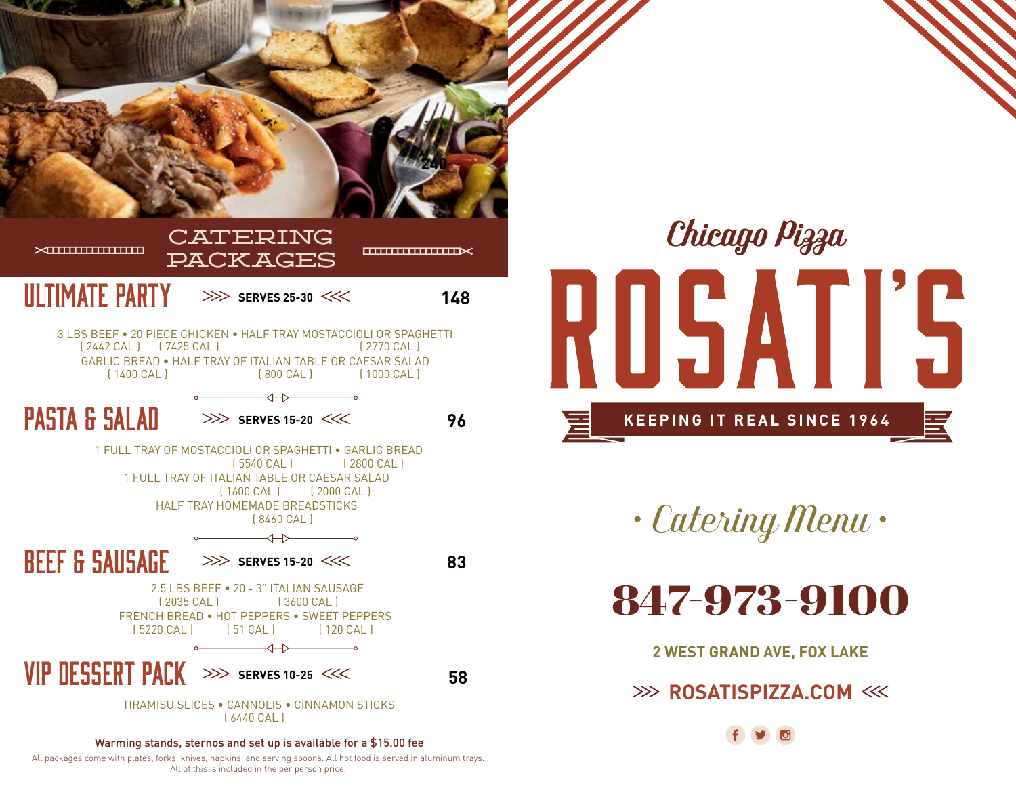

# (2770 CAL) ULTIMATE PARTY **SERVES 25-30 <sup>148</sup>**

3 LBS BEEF • 20 PIECE CHICKEN • HALF TRAY MOSTACCIOLI OR SPAGHETTI [ 2442 CAL ] [ 7425 CAL ] ( 1400 CAL ) ( 800 CAL ) ( 1000 CAL ) GARLIC BREAD • HALF TRAY OF ITALIAN TABLE OR CAESAR SALAD

## PASTA & SALAD **SERVES 15-20 <sup>96</sup>**

1 FULL TRAY OF MOSTACCIOLI OR SPAGHETTI • GARLIC BREAD ( 5540 CAL ) ( 2800 CAL ) 1 FULL TRAY OF ITALIAN TABLE OR CAESAR SALAD ( 1600 CAL ) ( 2000 CAL ) HALF TRAY HOMEMADE BREADSTICKS ( 8460 CAL )  $\leftrightarrow$ BEEF & SAUSAGE **SERVES 15-20 <sup>83</sup>**

2.5 LBS BEEF • 20 - 3" ITALIAN SAUSAGE FRENCH BREAD • HOT PEPPERS • SWEET PEPPERS ( 2035 CAL ) ( 5220 CAL ) ( 51 CAL ) ( 120 CAL ) ( 3600 CAL )

 $VIP$  DESSERT PACK  $\gg$  serves 10-25  $\ll$  58

TIRAMISU SLICES • CANNOLIS • CINNAMON STICKS ( 6440 CAL )

#### Warming stands, sternos and set up is available for a \$15.00 fee

All packages come with plates, forks, knives, napkins, and serving spoons. All hot food is served in aluminum trays. All of this is included in the per person price.



*• Catering Menu •*

# 847-973-9100

**2 WEST GRAND AVE, FOX LAKE**

**EXAMPLE 20 ROSATISPIZZA.COM**